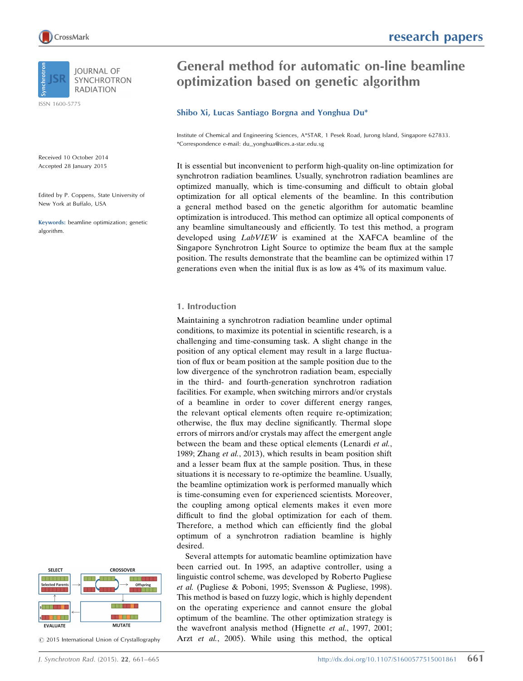ISSN 1600-5775

Received 10 October 2014 Accepted 28 January 2015

Edited by P. Coppens, State University of New York at Buffalo, USA

Keywords: beamline optimization; genetic algorithm.

#### **CROSSOVER SELECT** M M Offspring **Selected Parent:** N BE <u>Titul III.</u> **EVALUATE MUTATE**

 $\circled{c}$  2015 International Union of Crystallography

# General method for automatic on-line beamline optimization based on genetic algorithm

# Shibo Xi, Lucas Santiago Borgna and Yonghua Du\*

Institute of Chemical and Engineering Sciences, A\*STAR, 1 Pesek Road, Jurong Island, Singapore 627833. \*Correspondence e-mail: du\_yonghua@ices.a-star.edu.sg

It is essential but inconvenient to perform high-quality on-line optimization for synchrotron radiation beamlines. Usually, synchrotron radiation beamlines are optimized manually, which is time-consuming and difficult to obtain global optimization for all optical elements of the beamline. In this contribution a general method based on the genetic algorithm for automatic beamline optimization is introduced. This method can optimize all optical components of any beamline simultaneously and efficiently. To test this method, a program developed using LabVIEW is examined at the XAFCA beamline of the Singapore Synchrotron Light Source to optimize the beam flux at the sample position. The results demonstrate that the beamline can be optimized within 17 generations even when the initial flux is as low as 4% of its maximum value.

## 1. Introduction

Maintaining a synchrotron radiation beamline under optimal conditions, to maximize its potential in scientific research, is a challenging and time-consuming task. A slight change in the position of any optical element may result in a large fluctuation of flux or beam position at the sample position due to the low divergence of the synchrotron radiation beam, especially in the third- and fourth-generation synchrotron radiation facilities. For example, when switching mirrors and/or crystals of a beamline in order to cover different energy ranges, the relevant optical elements often require re-optimization; otherwise, the flux may decline significantly. Thermal slope errors of mirrors and/or crystals may affect the emergent angle between the beam and these optical elements (Lenardi et al., 1989; Zhang et al., 2013), which results in beam position shift and a lesser beam flux at the sample position. Thus, in these situations it is necessary to re-optimize the beamline. Usually, the beamline optimization work is performed manually which is time-consuming even for experienced scientists. Moreover, the coupling among optical elements makes it even more difficult to find the global optimization for each of them. Therefore, a method which can efficiently find the global optimum of a synchrotron radiation beamline is highly desired.

Several attempts for automatic beamline optimization have been carried out. In 1995, an adaptive controller, using a linguistic control scheme, was developed by Roberto Pugliese et al. (Pugliese & Poboni, 1995; Svensson & Pugliese, 1998). This method is based on fuzzy logic, which is highly dependent on the operating experience and cannot ensure the global optimum of the beamline. The other optimization strategy is the wavefront analysis method (Hignette et al., 1997, 2001; Arzt et al., 2005). While using this method, the optical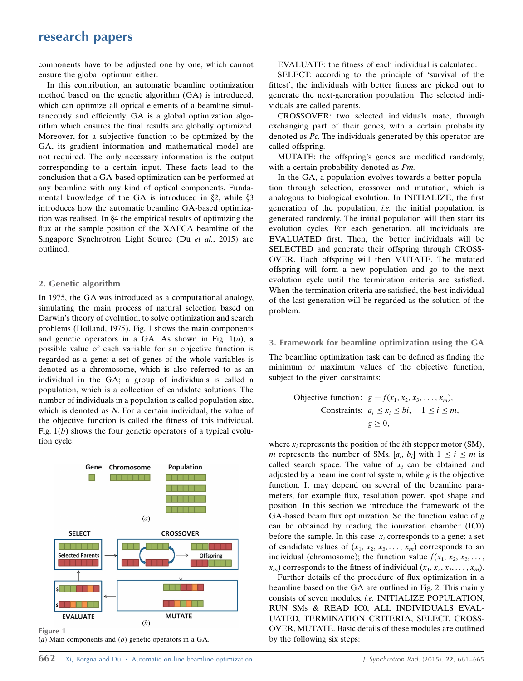components have to be adjusted one by one, which cannot ensure the global optimum either.

In this contribution, an automatic beamline optimization method based on the genetic algorithm (GA) is introduced, which can optimize all optical elements of a beamline simultaneously and efficiently. GA is a global optimization algorithm which ensures the final results are globally optimized. Moreover, for a subjective function to be optimized by the GA, its gradient information and mathematical model are not required. The only necessary information is the output corresponding to a certain input. These facts lead to the conclusion that a GA-based optimization can be performed at any beamline with any kind of optical components. Fundamental knowledge of the GA is introduced in  $\S$ 2, while  $\S$ 3 introduces how the automatic beamline GA-based optimization was realised. In §4 the empirical results of optimizing the flux at the sample position of the XAFCA beamline of the Singapore Synchrotron Light Source (Du et al., 2015) are outlined.

### 2. Genetic algorithm

In 1975, the GA was introduced as a computational analogy, simulating the main process of natural selection based on Darwin's theory of evolution, to solve optimization and search problems (Holland, 1975). Fig. 1 shows the main components and genetic operators in a GA. As shown in Fig.  $1(a)$ , a possible value of each variable for an objective function is regarded as a gene; a set of genes of the whole variables is denoted as a chromosome, which is also referred to as an individual in the GA; a group of individuals is called a population, which is a collection of candidate solutions. The number of individuals in a population is called population size, which is denoted as N. For a certain individual, the value of the objective function is called the fitness of this individual. Fig.  $1(b)$  shows the four genetic operators of a typical evolution cycle:



( $a$ ) Main components and  $(b)$  genetic operators in a GA.

EVALUATE: the fitness of each individual is calculated.

SELECT: according to the principle of 'survival of the fittest', the individuals with better fitness are picked out to generate the next-generation population. The selected individuals are called parents.

CROSSOVER: two selected individuals mate, through exchanging part of their genes, with a certain probability denoted as Pc. The individuals generated by this operator are called offspring.

MUTATE: the offspring's genes are modified randomly, with a certain probability denoted as Pm.

In the GA, a population evolves towards a better population through selection, crossover and mutation, which is analogous to biological evolution. In INITIALIZE, the first generation of the population, *i.e.* the initial population, is generated randomly. The initial population will then start its evolution cycles. For each generation, all individuals are EVALUATED first. Then, the better individuals will be SELECTED and generate their offspring through CROSS-OVER. Each offspring will then MUTATE. The mutated offspring will form a new population and go to the next evolution cycle until the termination criteria are satisfied. When the termination criteria are satisfied, the best individual of the last generation will be regarded as the solution of the problem.

#### 3. Framework for beamline optimization using the GA

The beamline optimization task can be defined as finding the minimum or maximum values of the objective function, subject to the given constraints:

Objective function: 
$$
g = f(x_1, x_2, x_3, \ldots, x_m)
$$
,

\nConstraints:  $a_i \leq x_i \leq bi, \quad 1 \leq i \leq m, \quad g \geq 0$ ,

where  $x_i$  represents the position of the *i*th stepper motor (SM), m represents the number of SMs.  $[a_i, b_i]$  with  $1 \le i \le m$  is called search space. The value of  $x_i$  can be obtained and adjusted by a beamline control system, while  $g$  is the objective function. It may depend on several of the beamline parameters, for example flux, resolution power, spot shape and position. In this section we introduce the framework of the GA-based beam flux optimization. So the function value of g can be obtained by reading the ionization chamber (IC0) before the sample. In this case:  $x_i$  corresponds to a gene; a set of candidate values of  $(x_1, x_2, x_3, \ldots, x_m)$  corresponds to an individual (chromosome); the function value  $f(x_1, x_2, x_3, \ldots)$  $x_m$ ) corresponds to the fitness of individual  $(x_1, x_2, x_3, \ldots, x_m)$ .

Further details of the procedure of flux optimization in a beamline based on the GA are outlined in Fig. 2. This mainly consists of seven modules, i.e. INITIALIZE POPULATION, RUN SMs & READ IC0, ALL INDIVIDUALS EVAL-UATED, TERMINATION CRITERIA, SELECT, CROSS-OVER, MUTATE. Basic details of these modules are outlined by the following six steps: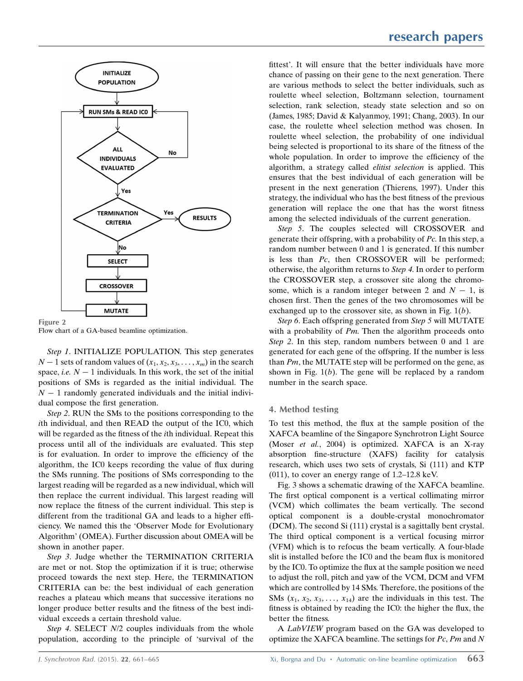

Flow chart of a GA-based beamline optimization.

Step 1. INITIALIZE POPULATION. This step generates  $N-1$  sets of random values of  $(x_1, x_2, x_3, \ldots, x_m)$  in the search space, *i.e.*  $N - 1$  individuals. In this work, the set of the initial positions of SMs is regarded as the initial individual. The  $N - 1$  randomly generated individuals and the initial individual compose the first generation.

Step 2. RUN the SMs to the positions corresponding to the ith individual, and then READ the output of the IC0, which will be regarded as the fitness of the ith individual. Repeat this process until all of the individuals are evaluated. This step is for evaluation. In order to improve the efficiency of the algorithm, the IC0 keeps recording the value of flux during the SMs running. The positions of SMs corresponding to the largest reading will be regarded as a new individual, which will then replace the current individual. This largest reading will now replace the fitness of the current individual. This step is different from the traditional GA and leads to a higher efficiency. We named this the 'Observer Mode for Evolutionary Algorithm' (OMEA). Further discussion about OMEA will be shown in another paper.

Step 3. Judge whether the TERMINATION CRITERIA are met or not. Stop the optimization if it is true; otherwise proceed towards the next step. Here, the TERMINATION CRITERIA can be: the best individual of each generation reaches a plateau which means that successive iterations no longer produce better results and the fitness of the best individual exceeds a certain threshold value.

Step 4. SELECT  $N/2$  couples individuals from the whole population, according to the principle of 'survival of the fittest'. It will ensure that the better individuals have more chance of passing on their gene to the next generation. There are various methods to select the better individuals, such as roulette wheel selection, Boltzmann selection, tournament selection, rank selection, steady state selection and so on (James, 1985; David & Kalyanmoy, 1991; Chang, 2003). In our case, the roulette wheel selection method was chosen. In roulette wheel selection, the probability of one individual being selected is proportional to its share of the fitness of the whole population. In order to improve the efficiency of the algorithm, a strategy called elitist selection is applied. This ensures that the best individual of each generation will be present in the next generation (Thierens, 1997). Under this strategy, the individual who has the best fitness of the previous generation will replace the one that has the worst fitness among the selected individuals of the current generation.

Step 5. The couples selected will CROSSOVER and generate their offspring, with a probability of Pc. In this step, a random number between 0 and 1 is generated. If this number is less than Pc, then CROSSOVER will be performed; otherwise, the algorithm returns to Step 4. In order to perform the CROSSOVER step, a crossover site along the chromosome, which is a random integer between 2 and  $N - 1$ , is chosen first. Then the genes of the two chromosomes will be exchanged up to the crossover site, as shown in Fig.  $1(b)$ .

Step 6. Each offspring generated from Step 5 will MUTATE with a probability of  $Pm$ . Then the algorithm proceeds onto Step 2. In this step, random numbers between 0 and 1 are generated for each gene of the offspring. If the number is less than  $Pm$ , the MUTATE step will be performed on the gene, as shown in Fig.  $1(b)$ . The gene will be replaced by a random number in the search space.

#### 4. Method testing

To test this method, the flux at the sample position of the XAFCA beamline of the Singapore Synchrotron Light Source (Moser et al., 2004) is optimized. XAFCA is an X-ray absorption fine-structure (XAFS) facility for catalysis research, which uses two sets of crystals, Si (111) and KTP (011), to cover an energy range of 1.2–12.8 keV.

Fig. 3 shows a schematic drawing of the XAFCA beamline. The first optical component is a vertical collimating mirror (VCM) which collimates the beam vertically. The second optical component is a double-crystal monochromator (DCM). The second Si (111) crystal is a sagittally bent crystal. The third optical component is a vertical focusing mirror (VFM) which is to refocus the beam vertically. A four-blade slit is installed before the IC0 and the beam flux is monitored by the IC0. To optimize the flux at the sample position we need to adjust the roll, pitch and yaw of the VCM, DCM and VFM which are controlled by 14 SMs. Therefore, the positions of the SMs  $(x_1, x_2, x_3, \ldots, x_{14})$  are the individuals in this test. The fitness is obtained by reading the IC0: the higher the flux, the better the fitness.

A LabVIEW program based on the GA was developed to optimize the XAFCA beamline. The settings for Pc, Pm and N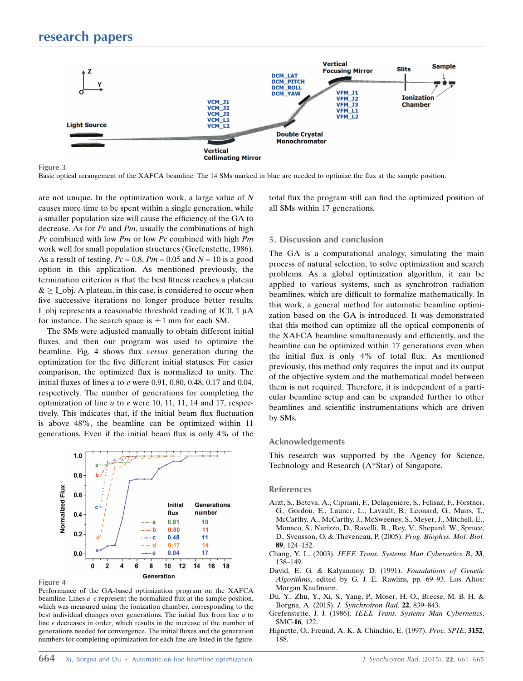

Figure 3

Basic optical arrangement of the XAFCA beamline. The 14 SMs marked in blue are needed to optimize the flux at the sample position.

are not unique. In the optimization work, a large value of N causes more time to be spent within a single generation, while a smaller population size will cause the efficiency of the GA to decrease. As for Pc and Pm, usually the combinations of high Pc combined with low Pm or low Pc combined with high  $Pm$ work well for small population structures (Grefenstette, 1986). As a result of testing,  $Pc = 0.8$ ,  $Pm = 0.05$  and  $N = 10$  is a good option in this application. As mentioned previously, the termination criterion is that the best fitness reaches a plateau  $> I$  obj. A plateau, in this case, is considered to occur when five successive iterations no longer produce better results. I obj represents a reasonable threshold reading of IC0,  $1 \mu A$ for instance. The search space is  $\pm 1$  mm for each SM.

The SMs were adjusted manually to obtain different initial fluxes, and then our program was used to optimize the beamline. Fig. 4 shows flux versus generation during the optimization for the five different initial statuses. For easier comparison, the optimized flux is normalized to unity. The initial fluxes of lines *a* to *e* were 0.91, 0.80, 0.48, 0.17 and 0.04, respectively. The number of generations for completing the optimization of line a to e were 10, 11, 11, 14 and 17, respectively. This indicates that, if the initial beam flux fluctuation is above 48%, the beamline can be optimized within 11 generations. Even if the initial beam flux is only 4% of the



Figure 4

Performance of the GA-based optimization program on the XAFCA beamline. Lines  $a-e$  represent the normalized flux at the sample position, which was measured using the ionization chamber, corresponding to the best individual changes over generations. The initial flux from line a to line e decreases in order, which results in the increase of the number of generations needed for convergence. The initial fluxes and the generation numbers for completing optimization for each line are listed in the figure. total flux the program still can find the optimized position of all SMs within 17 generations.

#### 5. Discussion and conclusion

The GA is a computational analogy, simulating the main process of natural selection, to solve optimization and search problems. As a global optimization algorithm, it can be applied to various systems, such as synchrotron radiation beamlines, which are difficult to formalize mathematically. In this work, a general method for automatic beamline optimization based on the GA is introduced. It was demonstrated that this method can optimize all the optical components of the XAFCA beamline simultaneously and efficiently, and the beamline can be optimized within 17 generations even when the initial flux is only 4% of total flux. As mentioned previously, this method only requires the input and its output of the objective system and the mathematical model between them is not required. Therefore, it is independent of a particular beamline setup and can be expanded further to other beamlines and scientific instrumentations which are driven by SMs.

#### Acknowledgements

This research was supported by the Agency for Science, Technology and Research (A\*Star) of Singapore.

#### References

- Arzt, S., Beteva, A., Cipriani, F., Delageniere, S., Felisaz, F., Förstner, [G., Gordon, E., Launer, L., Lavault, B., Leonard, G., Mairs, T.,](http://scripts.iucr.org/cgi-bin/cr.cgi?rm=pdfbb&cnor=cn5060&bbid=BB1) [McCarthy, A., McCarthy, J., McSweeney, S., Meyer, J., Mitchell, E.,](http://scripts.iucr.org/cgi-bin/cr.cgi?rm=pdfbb&cnor=cn5060&bbid=BB1) [Monaco, S., Nurizzo, D., Ravelli, R., Rey, V., Shepard, W., Spruce,](http://scripts.iucr.org/cgi-bin/cr.cgi?rm=pdfbb&cnor=cn5060&bbid=BB1) [D., Svensson, O. & Theveneau, P. \(2005\).](http://scripts.iucr.org/cgi-bin/cr.cgi?rm=pdfbb&cnor=cn5060&bbid=BB1) Prog. Biophys. Mol. Biol. 89[, 124–152.](http://scripts.iucr.org/cgi-bin/cr.cgi?rm=pdfbb&cnor=cn5060&bbid=BB1)
- Chang, Y. L. (2003). [IEEE Trans. Systems Man Cybernetics B](http://scripts.iucr.org/cgi-bin/cr.cgi?rm=pdfbb&cnor=cn5060&bbid=BB2), 33, [138–149.](http://scripts.iucr.org/cgi-bin/cr.cgi?rm=pdfbb&cnor=cn5060&bbid=BB2)
- [David, E. G. & Kalyanmoy, D. \(1991\).](http://scripts.iucr.org/cgi-bin/cr.cgi?rm=pdfbb&cnor=cn5060&bbid=BB3) Foundations of Genetic Algorithms[, edited by G. J. E. Rawlins, pp. 69–93. Los Altos:](http://scripts.iucr.org/cgi-bin/cr.cgi?rm=pdfbb&cnor=cn5060&bbid=BB3) [Morgan Kaufmann.](http://scripts.iucr.org/cgi-bin/cr.cgi?rm=pdfbb&cnor=cn5060&bbid=BB3)
- [Du, Y., Zhu, Y., Xi, S., Yang, P., Moser, H. O., Breese, M. B. H. &](http://scripts.iucr.org/cgi-bin/cr.cgi?rm=pdfbb&cnor=cn5060&bbid=BB14) Borgna, A. (2015). [J. Synchrotron Rad.](http://scripts.iucr.org/cgi-bin/cr.cgi?rm=pdfbb&cnor=cn5060&bbid=BB14) 22, 839–843.
- Grefenstette, J. J. (1986). [IEEE Trans. Systems Man Cybernetics](http://scripts.iucr.org/cgi-bin/cr.cgi?rm=pdfbb&cnor=cn5060&bbid=BB4), [SMC-](http://scripts.iucr.org/cgi-bin/cr.cgi?rm=pdfbb&cnor=cn5060&bbid=BB4)16, 122.
- [Hignette, O., Freund, A. K. & Chinchio, E. \(1997\).](http://scripts.iucr.org/cgi-bin/cr.cgi?rm=pdfbb&cnor=cn5060&bbid=BB5) Proc. SPIE, 3152, [188.](http://scripts.iucr.org/cgi-bin/cr.cgi?rm=pdfbb&cnor=cn5060&bbid=BB5)